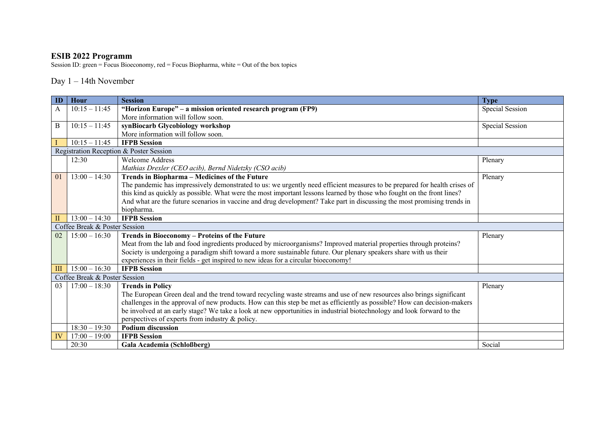## **ESIB 2022 Programm**

Session ID: green = Focus Bioeconomy, red = Focus Biopharma, white = Out of the box topics

## Day 1 – 14th November

| ID  | Hour                          | <b>Session</b>                                                                                                            | <b>Type</b>     |  |  |
|-----|-------------------------------|---------------------------------------------------------------------------------------------------------------------------|-----------------|--|--|
| A   | $10:15 - 11:45$               | "Horizon Europe" – a mission oriented research program (FP9)                                                              | Special Session |  |  |
|     |                               | More information will follow soon.                                                                                        |                 |  |  |
| B   | $10:15 - 11:45$               | synBiocarb Glycobiology workshop                                                                                          | Special Session |  |  |
|     |                               | More information will follow soon.                                                                                        |                 |  |  |
|     | $10:15 - 11:45$               | <b>IFPB Session</b>                                                                                                       |                 |  |  |
|     |                               | Registration Reception & Poster Session                                                                                   |                 |  |  |
|     | 12:30                         | <b>Welcome Address</b>                                                                                                    | Plenary         |  |  |
|     |                               | Mathias Drexler (CEO acib), Bernd Nidetzky (CSO acib)                                                                     |                 |  |  |
| 01  | $13:00 - 14:30$               | Trends in Biopharma - Medicines of the Future                                                                             | Plenary         |  |  |
|     |                               | The pandemic has impressively demonstrated to us: we urgently need efficient measures to be prepared for health crises of |                 |  |  |
|     |                               | this kind as quickly as possible. What were the most important lessons learned by those who fought on the front lines?    |                 |  |  |
|     |                               | And what are the future scenarios in vaccine and drug development? Take part in discussing the most promising trends in   |                 |  |  |
|     |                               | biopharma.                                                                                                                |                 |  |  |
| П   | $13:00 - 14:30$               | <b>IFPB</b> Session                                                                                                       |                 |  |  |
|     | Coffee Break & Poster Session |                                                                                                                           |                 |  |  |
| 02  | $15:00 - 16:30$               | Trends in Bioeconomy - Proteins of the Future                                                                             | Plenary         |  |  |
|     |                               | Meat from the lab and food ingredients produced by microorganisms? Improved material properties through proteins?         |                 |  |  |
|     |                               | Society is undergoing a paradigm shift toward a more sustainable future. Our plenary speakers share with us their         |                 |  |  |
|     |                               | experiences in their fields - get inspired to new ideas for a circular bioeconomy!                                        |                 |  |  |
| III | $15:00 - 16:30$               | <b>IFPB</b> Session                                                                                                       |                 |  |  |
|     | Coffee Break & Poster Session |                                                                                                                           |                 |  |  |
| 03  | $17:00 - 18:30$               | <b>Trends in Policy</b>                                                                                                   | Plenary         |  |  |
|     |                               | The European Green deal and the trend toward recycling waste streams and use of new resources also brings significant     |                 |  |  |
|     |                               | challenges in the approval of new products. How can this step be met as efficiently as possible? How can decision-makers  |                 |  |  |
|     |                               | be involved at an early stage? We take a look at new opportunities in industrial biotechnology and look forward to the    |                 |  |  |
|     |                               | perspectives of experts from industry & policy.                                                                           |                 |  |  |
|     | $18:30 - 19:30$               | <b>Podium discussion</b>                                                                                                  |                 |  |  |
| IV  | $17:00 - 19:00$               | <b>IFPB Session</b>                                                                                                       |                 |  |  |
|     | 20:30                         | Gala Academia (Schloßberg)                                                                                                | Social          |  |  |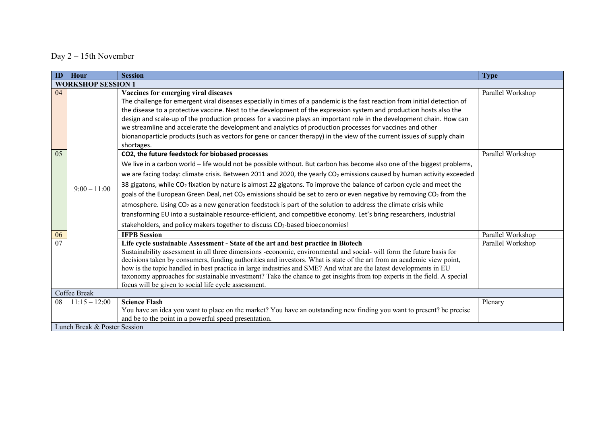## Day 2 – 15th November

| ID             | Hour                         | <b>Session</b>                                                                                                                                                                 | <b>Type</b>       |  |
|----------------|------------------------------|--------------------------------------------------------------------------------------------------------------------------------------------------------------------------------|-------------------|--|
|                | <b>WORKSHOP SESSION 1</b>    |                                                                                                                                                                                |                   |  |
| 04             |                              | Vaccines for emerging viral diseases                                                                                                                                           | Parallel Workshop |  |
|                |                              | The challenge for emergent viral diseases especially in times of a pandemic is the fast reaction from initial detection of                                                     |                   |  |
|                |                              | the disease to a protective vaccine. Next to the development of the expression system and production hosts also the                                                            |                   |  |
|                |                              | design and scale-up of the production process for a vaccine plays an important role in the development chain. How can                                                          |                   |  |
|                |                              | we streamline and accelerate the development and analytics of production processes for vaccines and other                                                                      |                   |  |
|                |                              | bionanoparticle products (such as vectors for gene or cancer therapy) in the view of the current issues of supply chain                                                        |                   |  |
|                |                              | shortages.                                                                                                                                                                     |                   |  |
| 0 <sub>5</sub> |                              | CO2, the future feedstock for biobased processes                                                                                                                               | Parallel Workshop |  |
|                |                              | We live in a carbon world - life would not be possible without. But carbon has become also one of the biggest problems,                                                        |                   |  |
|                |                              | we are facing today: climate crisis. Between 2011 and 2020, the yearly CO <sub>2</sub> emissions caused by human activity exceeded                                             |                   |  |
|                | $9:00 - 11:00$               | 38 gigatons, while CO <sub>2</sub> fixation by nature is almost 22 gigatons. To improve the balance of carbon cycle and meet the                                               |                   |  |
|                |                              | goals of the European Green Deal, net CO <sub>2</sub> emissions should be set to zero or even negative by removing CO <sub>2</sub> from the                                    |                   |  |
|                |                              | atmosphere. Using CO <sub>2</sub> as a new generation feedstock is part of the solution to address the climate crisis while                                                    |                   |  |
|                |                              | transforming EU into a sustainable resource-efficient, and competitive economy. Let's bring researchers, industrial                                                            |                   |  |
|                |                              | stakeholders, and policy makers together to discuss CO <sub>2</sub> -based bioeconomies!                                                                                       |                   |  |
| 06             |                              | <b>IFPB Session</b>                                                                                                                                                            | Parallel Workshop |  |
| 07             |                              | Life cycle sustainable Assessment - State of the art and best practice in Biotech                                                                                              | Parallel Workshop |  |
|                |                              | Sustainability assessment in all three dimensions -economic, environmental and social- will form the future basis for                                                          |                   |  |
|                |                              | decisions taken by consumers, funding authorities and investors. What is state of the art from an academic view point,                                                         |                   |  |
|                |                              | how is the topic handled in best practice in large industries and SME? And what are the latest developments in EU                                                              |                   |  |
|                |                              | taxonomy approaches for sustainable investment? Take the chance to get insights from top experts in the field. A special                                                       |                   |  |
|                |                              | focus will be given to social life cycle assessment.                                                                                                                           |                   |  |
|                | Coffee Break                 |                                                                                                                                                                                |                   |  |
| 08             | $11:15 - 12:00$              | <b>Science Flash</b>                                                                                                                                                           | Plenary           |  |
|                |                              | You have an idea you want to place on the market? You have an outstanding new finding you want to present? be precise<br>and be to the point in a powerful speed presentation. |                   |  |
|                | Lunch Break & Poster Session |                                                                                                                                                                                |                   |  |
|                |                              |                                                                                                                                                                                |                   |  |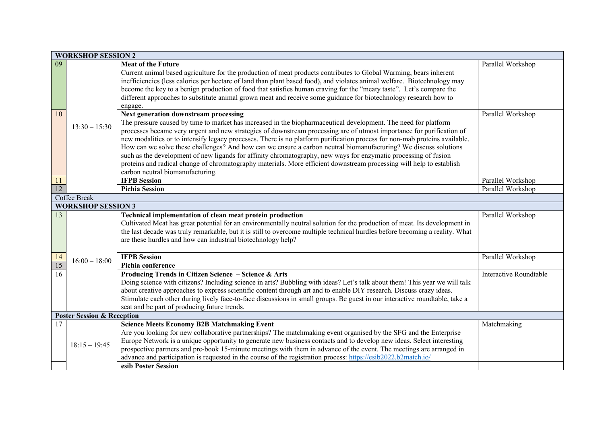|                 | <b>WORKSHOP SESSION 2</b>             |                                                                                                                                                                                                                                                                                                                                                                                                                                                                                                                                                                                                                                                                                                                                                                                                                    |                        |  |  |
|-----------------|---------------------------------------|--------------------------------------------------------------------------------------------------------------------------------------------------------------------------------------------------------------------------------------------------------------------------------------------------------------------------------------------------------------------------------------------------------------------------------------------------------------------------------------------------------------------------------------------------------------------------------------------------------------------------------------------------------------------------------------------------------------------------------------------------------------------------------------------------------------------|------------------------|--|--|
| 09              |                                       | <b>Meat of the Future</b><br>Current animal based agriculture for the production of meat products contributes to Global Warming, bears inherent<br>inefficiencies (less calories per hectare of land than plant based food), and violates animal welfare. Biotechnology may<br>become the key to a benign production of food that satisfies human craving for the "meaty taste". Let's compare the<br>different approaches to substitute animal grown meat and receive some guidance for biotechnology research how to<br>engage.                                                                                                                                                                                                                                                                                  | Parallel Workshop      |  |  |
| $\overline{10}$ | $13:30 - 15:30$                       | Next generation downstream processing<br>The pressure caused by time to market has increased in the biopharmaceutical development. The need for platform<br>processes became very urgent and new strategies of downstream processing are of utmost importance for purification of<br>new modalities or to intensify legacy processes. There is no platform purification process for non-mab proteins available.<br>How can we solve these challenges? And how can we ensure a carbon neutral biomanufacturing? We discuss solutions<br>such as the development of new ligands for affinity chromatography, new ways for enzymatic processing of fusion<br>proteins and radical change of chromatography materials. More efficient downstream processing will help to establish<br>carbon neutral biomanufacturing. | Parallel Workshop      |  |  |
| $\frac{11}{12}$ |                                       | <b>IFPB Session</b>                                                                                                                                                                                                                                                                                                                                                                                                                                                                                                                                                                                                                                                                                                                                                                                                | Parallel Workshop      |  |  |
|                 |                                       | <b>Pichia Session</b>                                                                                                                                                                                                                                                                                                                                                                                                                                                                                                                                                                                                                                                                                                                                                                                              | Parallel Workshop      |  |  |
|                 | Coffee Break                          |                                                                                                                                                                                                                                                                                                                                                                                                                                                                                                                                                                                                                                                                                                                                                                                                                    |                        |  |  |
|                 | <b>WORKSHOP SESSION 3</b>             |                                                                                                                                                                                                                                                                                                                                                                                                                                                                                                                                                                                                                                                                                                                                                                                                                    |                        |  |  |
| 13              |                                       | Technical implementation of clean meat protein production<br>Cultivated Meat has great potential for an environmentally neutral solution for the production of meat. Its development in<br>the last decade was truly remarkable, but it is still to overcome multiple technical hurdles before becoming a reality. What<br>are these hurdles and how can industrial biotechnology help?                                                                                                                                                                                                                                                                                                                                                                                                                            | Parallel Workshop      |  |  |
|                 |                                       | <b>IFPB</b> Session                                                                                                                                                                                                                                                                                                                                                                                                                                                                                                                                                                                                                                                                                                                                                                                                | Parallel Workshop      |  |  |
| $\frac{14}{15}$ | $16:00 - 18:00$                       | Pichia conference                                                                                                                                                                                                                                                                                                                                                                                                                                                                                                                                                                                                                                                                                                                                                                                                  |                        |  |  |
| $\overline{16}$ |                                       | Producing Trends in Citizen Science - Science & Arts<br>Doing science with citizens? Including science in arts? Bubbling with ideas? Let's talk about them! This year we will talk<br>about creative approaches to express scientific content through art and to enable DIY research. Discuss crazy ideas.<br>Stimulate each other during lively face-to-face discussions in small groups. Be guest in our interactive roundtable, take a<br>seat and be part of producing future trends.                                                                                                                                                                                                                                                                                                                          | Interactive Roundtable |  |  |
|                 | <b>Poster Session &amp; Reception</b> |                                                                                                                                                                                                                                                                                                                                                                                                                                                                                                                                                                                                                                                                                                                                                                                                                    |                        |  |  |
| 17              | $18:15 - 19:45$                       | <b>Science Meets Economy B2B Matchmaking Event</b><br>Are you looking for new collaborative partnerships? The matchmaking event organised by the SFG and the Enterprise<br>Europe Network is a unique opportunity to generate new business contacts and to develop new ideas. Select interesting<br>prospective partners and pre-book 15-minute meetings with them in advance of the event. The meetings are arranged in                                                                                                                                                                                                                                                                                                                                                                                           | Matchmaking            |  |  |
|                 |                                       | advance and participation is requested in the course of the registration process: https://esib2022.b2match.io/<br>esib Poster Session                                                                                                                                                                                                                                                                                                                                                                                                                                                                                                                                                                                                                                                                              |                        |  |  |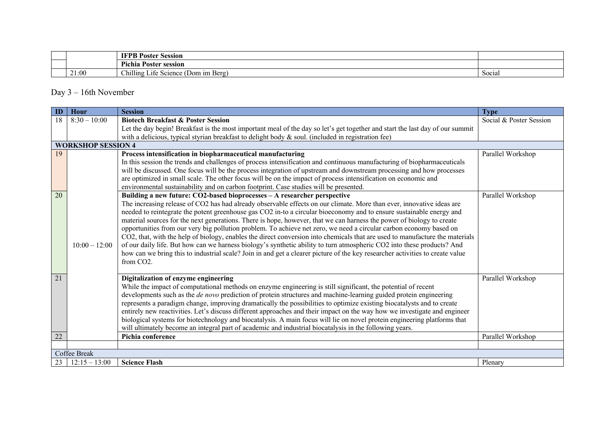|  |       | -<br><b>TIME</b><br>70ster<br>Session                                                                           |        |
|--|-------|-----------------------------------------------------------------------------------------------------------------|--------|
|  |       | Pichia.<br>Poster session                                                                                       |        |
|  | 21:00 | 11.<br>$\sim$<br>$\cdot$ $\sim$<br>(Dom im Berg)<br>$\mathop{\cup}$ hilling '<br>.1te<br>Seta<br><b>DUITILE</b> | Social |

## Day 3 – 16th November

| ID | <b>Hour</b>               | <b>Session</b>                                                                                                                                                                                                                                      | <b>Type</b>             |
|----|---------------------------|-----------------------------------------------------------------------------------------------------------------------------------------------------------------------------------------------------------------------------------------------------|-------------------------|
| 18 | $8:30 - 10:00$            | <b>Biotech Breakfast &amp; Poster Session</b>                                                                                                                                                                                                       | Social & Poster Session |
|    |                           | Let the day begin! Breakfast is the most important meal of the day so let's get together and start the last day of our summit                                                                                                                       |                         |
|    |                           | with a delicious, typical styrian breakfast to delight body & soul. (included in registration fee)                                                                                                                                                  |                         |
|    | <b>WORKSHOP SESSION 4</b> |                                                                                                                                                                                                                                                     |                         |
| 19 |                           | Process intensification in biopharmaceutical manufacturing                                                                                                                                                                                          | Parallel Workshop       |
|    |                           | In this session the trends and challenges of process intensification and continuous manufacturing of biopharmaceuticals                                                                                                                             |                         |
|    |                           | will be discussed. One focus will be the process integration of upstream and downstream processing and how processes                                                                                                                                |                         |
|    |                           | are optimized in small scale. The other focus will be on the impact of process intensification on economic and<br>environmental sustainability and on carbon footprint. Case studies will be presented.                                             |                         |
| 20 |                           | Building a new future: CO2-based bioprocesses - A researcher perspective                                                                                                                                                                            | Parallel Workshop       |
|    |                           | The increasing release of CO2 has had already observable effects on our climate. More than ever, innovative ideas are                                                                                                                               |                         |
|    |                           | needed to reintegrate the potent greenhouse gas CO2 in-to a circular bioeconomy and to ensure sustainable energy and                                                                                                                                |                         |
|    |                           | material sources for the next generations. There is hope, however, that we can harness the power of biology to create                                                                                                                               |                         |
|    |                           | opportunities from our very big pollution problem. To achieve net zero, we need a circular carbon economy based on                                                                                                                                  |                         |
|    |                           | CO2, that, with the help of biology, enables the direct conversion into chemicals that are used to manufacture the materials                                                                                                                        |                         |
|    | $10:00 - 12:00$           | of our daily life. But how can we harness biology's synthetic ability to turn atmospheric CO2 into these products? And                                                                                                                              |                         |
|    |                           | how can we bring this to industrial scale? Join in and get a clearer picture of the key researcher activities to create value                                                                                                                       |                         |
|    |                           | from CO2.                                                                                                                                                                                                                                           |                         |
|    |                           |                                                                                                                                                                                                                                                     |                         |
| 21 |                           | Digitalization of enzyme engineering                                                                                                                                                                                                                | Parallel Workshop       |
|    |                           | While the impact of computational methods on enzyme engineering is still significant, the potential of recent                                                                                                                                       |                         |
|    |                           | developments such as the de novo prediction of protein structures and machine-learning guided protein engineering                                                                                                                                   |                         |
|    |                           | represents a paradigm change, improving dramatically the possibilities to optimize existing biocatalysts and to create<br>entirely new reactivities. Let's discuss different approaches and their impact on the way how we investigate and engineer |                         |
|    |                           | biological systems for biotechnology and biocatalysis. A main focus will lie on novel protein engineering platforms that                                                                                                                            |                         |
|    |                           | will ultimately become an integral part of academic and industrial biocatalysis in the following years.                                                                                                                                             |                         |
| 22 |                           | Pichia conference                                                                                                                                                                                                                                   | Parallel Workshop       |
|    |                           |                                                                                                                                                                                                                                                     |                         |
|    | Coffee Break              |                                                                                                                                                                                                                                                     |                         |
| 23 | $12:15 - 13:00$           | <b>Science Flash</b>                                                                                                                                                                                                                                | Plenary                 |